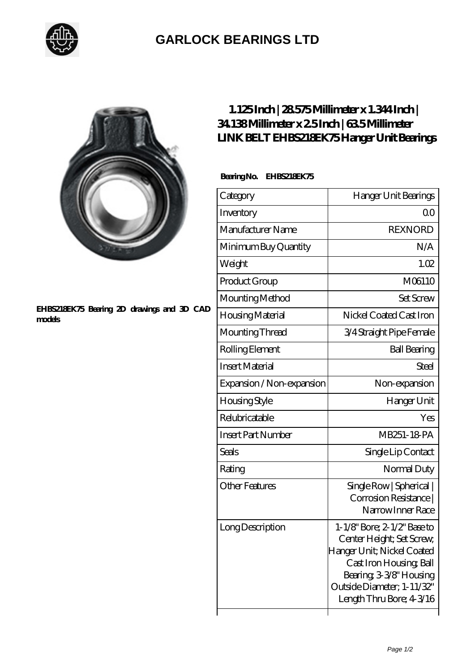

## **[GARLOCK BEARINGS LTD](https://m.letterstopriests.com)**

#### **[EHBS218EK75 Bearing 2D drawings and 3D CAD](https://m.letterstopriests.com/pic-189071.html) [models](https://m.letterstopriests.com/pic-189071.html)**

### **[1.125 Inch | 28.575 Millimeter x 1.344 Inch |](https://m.letterstopriests.com/am-189071-link-belt-ehbs218ek75-hanger-unit-bearings.html) [34.138 Millimeter x 2.5 Inch | 63.5 Millimeter](https://m.letterstopriests.com/am-189071-link-belt-ehbs218ek75-hanger-unit-bearings.html) [LINK BELT EHBS218EK75 Hanger Unit Bearings](https://m.letterstopriests.com/am-189071-link-belt-ehbs218ek75-hanger-unit-bearings.html)**

### **Bearing No. EHBS218EK75**

| Category                  | Hanger Unit Bearings                                                                                                                                                                                 |
|---------------------------|------------------------------------------------------------------------------------------------------------------------------------------------------------------------------------------------------|
| Inventory                 | Q0                                                                                                                                                                                                   |
| Manufacturer Name         | <b>REXNORD</b>                                                                                                                                                                                       |
| Minimum Buy Quantity      | N/A                                                                                                                                                                                                  |
| Weight                    | 1.02                                                                                                                                                                                                 |
| Product Group             | M06110                                                                                                                                                                                               |
| Mounting Method           | <b>Set Screw</b>                                                                                                                                                                                     |
| Housing Material          | Nickel Coated Cast Iron                                                                                                                                                                              |
| Mounting Thread           | 3/4 Straight Pipe Female                                                                                                                                                                             |
| Rolling Element           | <b>Ball Bearing</b>                                                                                                                                                                                  |
| <b>Insert Material</b>    | Steel                                                                                                                                                                                                |
| Expansion / Non-expansion | Non-expansion                                                                                                                                                                                        |
| Housing Style             | Hanger Unit                                                                                                                                                                                          |
| Relubricatable            | Yes                                                                                                                                                                                                  |
| <b>Insert Part Number</b> | MB251-18-PA                                                                                                                                                                                          |
| Seals                     | Single Lip Contact                                                                                                                                                                                   |
| Rating                    | Normal Duty                                                                                                                                                                                          |
| <b>Other Features</b>     | Single Row   Spherical  <br>Corrosion Resistance  <br>Narrow Inner Race                                                                                                                              |
| Long Description          | 1-1/8" Bore; 2-1/2" Base to<br>Center Height; Set Screw,<br>Hanger Unit; Nickel Coated<br>Cast Iron Housing, Ball<br>Bearing 3-3/8" Housing<br>Outside Diameter; 1-11/32"<br>Length Thru Bore; 43/16 |